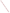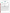## **THE ENVIRONMENTAL TECHNOLOGY VERIFICATION**







# **ETV Joint Verification Statement**

| <b>TECHNOLOGY TYPE: Arsenic Test Kit</b> |                                                                                                        |
|------------------------------------------|--------------------------------------------------------------------------------------------------------|
| <b>APPLICATION:</b>                      | ANALYSIS OF ARSENIC IN WATER                                                                           |
| TECHNOLOGY NAME: Nano-Band™ Explorer     |                                                                                                        |
| <b>COMPANY:</b>                          | <b>TraceDetect</b>                                                                                     |
| <b>ADDRESS:</b>                          | <b>180 North Canal Street</b><br>PHONE: 206-523-2009<br>206-523-2042<br>Seattle, Washington 98103 FAX: |
| <b>WEB SITE:</b><br>$E\text{-}MAIL:$     | www.tracedetect.com<br>sales@tracedetect.com                                                           |

The U.S. Environmental Protection Agency (EPA) has created the Environmental Technology Verification (ETV) Program to facilitate the deployment of innovative or improved environmental technologies through performance verification and dissemination of information. The goal of the ETV Program is to further environmental protection by substantially accelerating the acceptance and use of improved and cost-effective technologies. ETV seeks to achieve this goal by providing high-quality, peer-reviewed data on technology performance to those involved in the design, distribution, financing, permitting, purchase, and use of environmental technologies.

ETV works in partnership with recognized standards and testing organizations; with stakeholder groups that consist of buyers, vendor organizations, and permitters; and with the full participation of individual technology developers. The program evaluates the performance of innovative technologies by developing test plans that are responsive to the needs of stakeholders, conducting field or laboratory tests (as appropriate), collecting and analyzing data, and preparing peer-reviewed reports. All evaluations are conducted in accordance with rigorous quality assurance (QA) protocols to ensure that data of known and adequate quality are generated and that the results are defensible.

The Advanced Monitoring Systems (AMS) Center, one of six technology areas under ETV, is operated by Battelle in cooperation with EPA's National Exposure Research Laboratory. The AMS Center has recently evaluated the performance of four portable analyzers for arsenic in water. This verification statement provides a summary of the test results for the TraceDetect Nano-Band™ Explorer.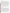## **VERIFICATION TEST DESCRIPTION**

The Nano-Band™ Explorer is a portable, rapid device designed for on-site analysis of arsenic in water. The Nano-Band<sup>™</sup> Explorer was verified in terms of its performance on the following parameters: accuracy, precision, linearity, method detection limit (MDL), matrix interference effects, operator bias, and rate of false positives/false negatives. Two units of the Nano-Band™ Explorer were tested independently by challenging them with test samples representative of those likely to be analyzed using the Nano-Band™ Explorer. Each unit of the Nano-Band™ Explorer was used to analyze the full set of samples for arsenic. The results from the Nano-Band™ Explorer tests were compared to those from a reference method to quantitatively assess accuracy, linearity, and detection limit. Multiple aliquots of performance test samples and drinking water samples were analyzed to assess precision. Matrix interference effects were assessed by challenging the test kit with performance test samples of known arsenic concentrations containing both low-level and high-level interferences. In addition to the analytical results, the time required for sample analysis and operator observations concerning the use of the test kit (e.g., frequency of calibration, ease of use, maintenance) were recorded. Three types of samples were used in the verification test: quality control (QC) samples, performance test (PT) samples, and environmental water samples. The QC and PT samples were prepared from National Institute of Standards and Technology purchased standards. The environmental water samples were collected from various drinking water and surface water sources. All samples were analyzed using the two Nano-Band™ Explorers and by a laboratory reference method. Every tenth sample was analyzed twice by the reference method to document the reference method's precision.

Identical sets of samples were to be analyzed independently by a technical and a non-technical operator, using separate units of the Nano-Band™ Explorer. Unfortunately, due to the failure of one Nano-Band™ Explorer, none of the well water (treated or otherwise) or fresh water analyses could be performed by the technical operator. At the vendor's request, such samples were stored at  $4^{\circ}C$  at Battelle until a vendor representative could perform these analyses approximately three weeks after sample collection.

QA oversight of verification testing was provided by Battelle. Battelle QA staff conducted a data quality audit of 10% of the test data, a performance evaluation audit, and a technical systems audit of the procedures used in this verification.

### **TECHNOLOGY DESCRIPTION**

The Nano-Band™ Explorer uses an anodic stripping voltammetry technique in which information about an analyte is derived from the measurement of electric current as a function of applied potential. The measurement is performed in an electrochemical cell under polarizing conditions on a working electrode. Analysis involves reducing the analyte of interest and collecting it at the working electrode. The analyte is then stripped off (i.e., oxidized) and measured. The stripping step is much shorter than the reduction step, and the consequent increase in the signal-to-noise ratio allows low concentration solutions to be measured. The Nano-Band™ Explorer electrode is an array of 100 sub-electrodes, each less than 0.5 microns thick. The increased mass transport rate afforded by this array allows parts per billion (ppb) measurements in seconds. Iridium electrodes are used to measure lead, mercury, copper, zinc, cadmium, thallium, bismuth, tin, antimony, and silver. Gold electrodes are used to measure arsenic. The three-electrode cell combines a Nano-Band™ Explorer electrode with a reference and an auxiliary electrode. The auxiliary and reference electrodes manage the current as it is passed through the working electrode. The Nano-Band™ Explorer has a detection limit as low as 0.1 ppb for some metals and displays measurement results in real time using software run on a laptop computer. The nominal detection limit for arsenic in this test was 4 ppb. The Nano Band™ Explorer is optimized for trace metals analysis. It can perform anodic and cathodic stripping voltammetry; normal square wave voltammetry; amperometry; cyclic voltammetry; temperature and pH measurements; and long-term data logging. The measurement system includes the Nano-Band™ Explorer, one reference and one auxiliary electrode, a measurement manual, a reference manual, Explorer software, a three-foot electrode cable, a temperature sensor, and an electrode cleaning kit. The Nano-Band™ Explorer is controlled by a laptop computer, which is not included in the cost of the instrument.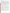#### **VERIFICATION OF PERFORMANCE**

**Accuracy:** An evaluation of the accuracy of the Nano-Band™ Explorer showed that the percent bias for individual samples ranged from 3 to 64% for the non-technical operator and 1 to 64% for the technical operator for the PT samples. For the non-technical operator, the bias for the individual well water samples (well water and treated well water) was 2 to 32% (average bias of 15% on ten samples), and for the freshwater (FW) samples was up to 499%. Due to instrument failure in the field, the technical operator did not analyze the well water (WW), treated well water (TW), or the FW samples. These samples were stored at 4ºC for three weeks before analysis in the laboratory by the vendor representative. The bias for the individual samples was 25 to 92% for the WW and TW, samples and up to 68% for the FW samples. Similar ranges of bias were found when only samples containing 10 ppb or more arsenic were considered. An additional criterion for accuracy was the percentage of sample for which the Nano-Band<sup>™</sup> result was within 25% of the reference result. By this criterion, the quantitative accuracy of the Nano-Band™ Explorer for the PT samples was 55% for the non-technical operator and 74% for the technical operator. The qualitative accuracy for the municipal drinking water samples was 71% for both the non-technical and technical operators. The qualitative accuracy for the WW and TW samples was 79% for the non-technical operator, and 21% for the vendor representative. The qualitative accuracy for the FW samples was 75% for the non-technical operator, and 83% for the vendor representative.

**Precision:** The precision of the Nano-Band™ Explorer was determined by calculating the percent relative standard deviation (RSD) of replicate analyses. The RSD ranged from 13 to 91% for the non-technical operator and 3 to 37% for the technical operator on the PT samples. The RSD for the drinking water samples was 11 to 13% for the non-technical operator and 4 to 11% for the vendor representative. **Precision:** The precision of the Nano-Band<sup>TM</sup> Explorer was determined by calculating the percent relative standard deviation (RSD) of replicate analyses. The RSD ranged from 13 to 91% for the non-technical operator on t

**Linearity:** The linearity of response of the Nano-Band™ Explorer was assessed using PT samples containing from 1 to 93 ppb arsenic. The linear regression for the Nano-Band™ Explorer for the non-technical operator was standard deviation (RSD) of replicate analyses. The RSD ranged from 13 to 91% for the non-tech<br>and 3 to 37% for the technical operator on the PT samples. The RSD for the drinking water sampl<br>13% for the non-technical oper

**Method detection limit:** The MDL was determined by analyzing seven replicate samples at a concentration of 25 ppb. The calculated MDL for the non-technical operator was 12.1 ppb and 14.2 ppb for the technical operator.

**Matrix interference effects:** The Nano-Band™ Explorer did not appear to be affected by matrix interferences added to the samples. However, the data from the two operators were quite different, with the non-technical operator reporting no detectable arsenic in any of the 16 samples. The technical operator reported an average value of 10.4 ppb of arsenic compared to the reference value of 9.91 ppb for the samples with low levels of interferants, and an average value of 11.5 ppb compared to the reference value of 9.94 ppb for the samples with high levels of interferants.

**Rate of false positives/false negatives:** The rates of false positives and false negatives of the Nano-Band™ Explorer were assessed relative to the reference method using 10 ppb of arsenic as the decision level. The rate of false positives for the Nano-Band™ Explorer was 0% for the non-technical operator, 13% for the technical operator, and 0% for the vendor representative. The rate of false negatives was 22% for the non-technical operator, 7% for the technical operator, and 100% for the vendor representative (who analyzed WW and TW samples stored for three weeks at 4°C).

**Operator bias:** The Nano-Band™ Explorer required some technical ability that at times seemed beyond the capabilities of the non-technical operator. However, none of the operators, including a representative of the Nano-Band™ Explorer's vendor, consistently achieved the expected results in this test.